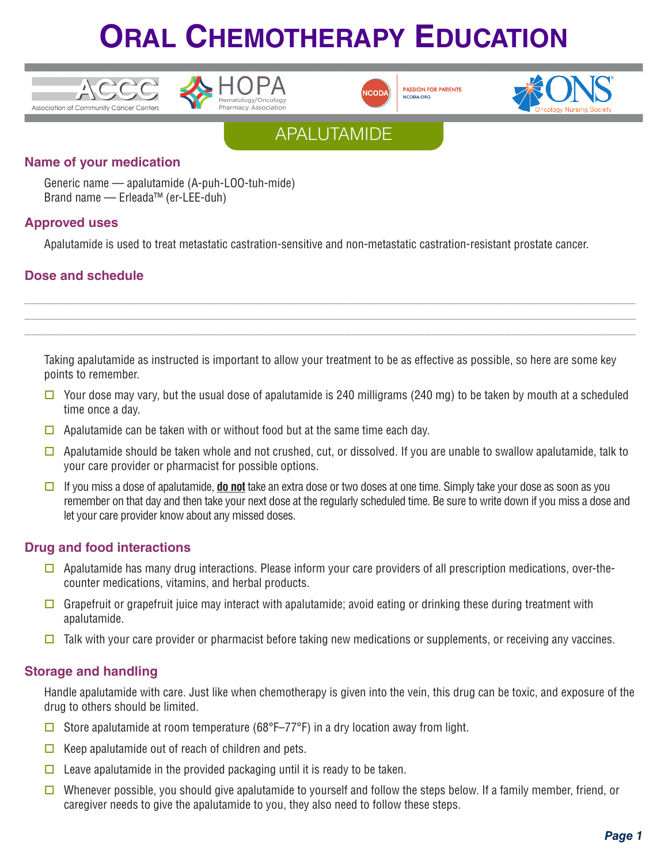





**PASSION FOR PATIENTS** NCODA, ORG





#### **Name of your medication**

Generic name — apalutamide (A-puh-LOO-tuh-mide) Brand name — Erleada™ (er-LEE-duh)

#### **Approved uses**

Apalutamide is used to treat metastatic castration-sensitive and non-metastatic castration-resistant prostate cancer.

#### **Dose and schedule**

Taking apalutamide as instructed is important to allow your treatment to be as effective as possible, so here are some key points to remember.

**\_\_\_\_\_\_\_\_\_\_\_\_\_\_\_\_\_\_\_\_\_\_\_\_\_\_\_\_\_\_\_\_\_\_\_\_\_\_\_\_\_\_\_\_\_\_\_\_\_\_\_\_\_\_\_\_\_\_\_\_\_\_\_\_\_\_\_\_\_\_\_\_\_\_\_\_\_\_\_\_\_\_\_\_ \_\_\_\_\_\_\_\_\_\_\_\_\_\_\_\_\_\_\_\_\_\_\_\_\_\_\_\_\_\_\_\_\_\_\_\_\_\_\_\_\_\_\_\_\_\_\_\_\_\_\_\_\_\_\_\_\_\_\_\_\_\_\_\_\_\_\_\_\_\_\_\_\_\_\_\_\_\_\_\_\_\_\_\_ \_\_\_\_\_\_\_\_\_\_\_\_\_\_\_\_\_\_\_\_\_\_\_\_\_\_\_\_\_\_\_\_\_\_\_\_\_\_\_\_\_\_\_\_\_\_\_\_\_\_\_\_\_\_\_\_\_\_\_\_\_\_\_\_\_\_\_\_\_\_\_\_\_\_\_\_\_\_\_\_\_\_\_\_**

- $\Box$  Your dose may vary, but the usual dose of apalutamide is 240 milligrams (240 mg) to be taken by mouth at a scheduled time once a day.
- $\Box$  Apalutamide can be taken with or without food but at the same time each day.
- $\Box$  Apalutamide should be taken whole and not crushed, cut, or dissolved. If you are unable to swallow apalutamide, talk to your care provider or pharmacist for possible options.
- o If you miss a dose of apalutamide, **do not** take an extra dose or two doses at one time. Simply take your dose as soon as you remember on that day and then take your next dose at the regularly scheduled time. Be sure to write down if you miss a dose and let your care provider know about any missed doses.

#### **Drug and food interactions**

- $\Box$  Apalutamide has many drug interactions. Please inform your care providers of all prescription medications, over-thecounter medications, vitamins, and herbal products.
- Grapefruit or grapefruit juice may interact with apalutamide; avoid eating or drinking these during treatment with apalutamide.
- $\Box$  Talk with your care provider or pharmacist before taking new medications or supplements, or receiving any vaccines.

#### **Storage and handling**

Handle apalutamide with care. Just like when chemotherapy is given into the vein, this drug can be toxic, and exposure of the drug to others should be limited.

- Store apalutamide at room temperature (68°F–77°F) in a dry location away from light.
- $\Box$  Keep apalutamide out of reach of children and pets.
- $\Box$  Leave apalutamide in the provided packaging until it is ready to be taken.
- $\square$  Whenever possible, you should give apalutamide to yourself and follow the steps below. If a family member, friend, or caregiver needs to give the apalutamide to you, they also need to follow these steps.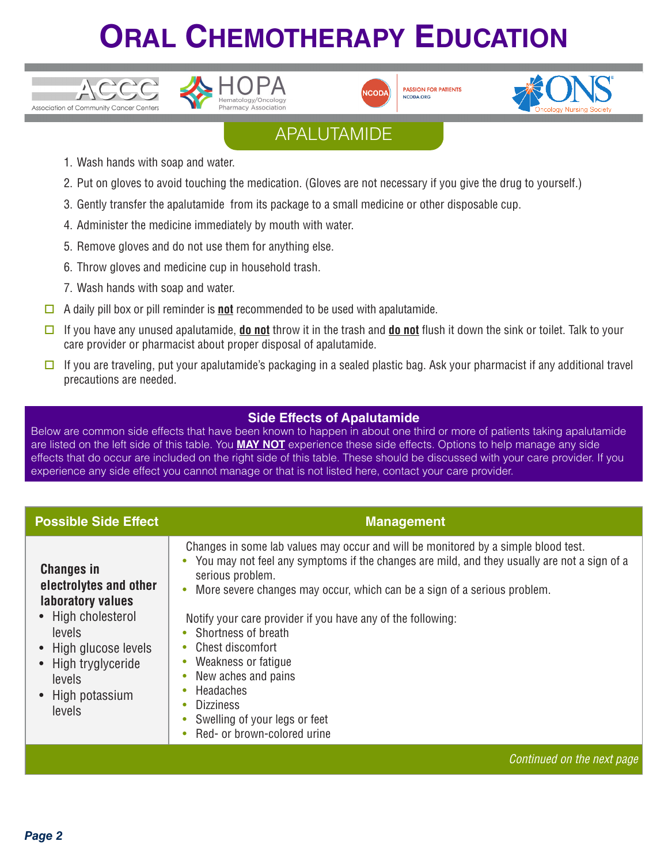



**PASSION FOR PATIENTS** NCODA, ORG



### APALUTAMIDE

1. Wash hands with soap and water.

ACCC

Association of Community Cancer Centers

- 2. Put on gloves to avoid touching the medication. (Gloves are not necessary if you give the drug to yourself.)
- 3. Gently transfer the apalutamide from its package to a small medicine or other disposable cup.
- 4. Administer the medicine immediately by mouth with water.
- 5. Remove gloves and do not use them for anything else.
- 6. Throw gloves and medicine cup in household trash.
- 7. Wash hands with soap and water.
- $\Box$  A daily pill box or pill reminder is **not** recommended to be used with apalutamide.
- o If you have any unused apalutamide, **do not** throw it in the trash and **do not** flush it down the sink or toilet. Talk to your care provider or pharmacist about proper disposal of apalutamide.
- $\Box$  If you are traveling, put your apalutamide's packaging in a sealed plastic bag. Ask your pharmacist if any additional travel precautions are needed.

#### **Side Effects of Apalutamide**

Below are common side effects that have been known to happen in about one third or more of patients taking apalutamide are listed on the left side of this table. You **MAY NOT** experience these side effects. Options to help manage any side effects that do occur are included on the right side of this table. These should be discussed with your care provider. If you experience any side effect you cannot manage or that is not listed here, contact your care provider.

| <b>Possible Side Effect</b>                                                                                                                                                              | <b>Management</b>                                                                                                                                                                                                                                                                                                                                                                                                                                                                                                                                                  |
|------------------------------------------------------------------------------------------------------------------------------------------------------------------------------------------|--------------------------------------------------------------------------------------------------------------------------------------------------------------------------------------------------------------------------------------------------------------------------------------------------------------------------------------------------------------------------------------------------------------------------------------------------------------------------------------------------------------------------------------------------------------------|
| <b>Changes in</b><br>electrolytes and other<br>laboratory values<br>• High cholesterol<br>levels<br>• High glucose levels<br>• High tryglyceride<br>levels<br>• High potassium<br>levels | Changes in some lab values may occur and will be monitored by a simple blood test.<br>• You may not feel any symptoms if the changes are mild, and they usually are not a sign of a<br>serious problem.<br>More severe changes may occur, which can be a sign of a serious problem.<br>Notify your care provider if you have any of the following:<br>Shortness of breath<br>۰<br>Chest discomfort<br>Weakness or fatigue<br>۰<br>New aches and pains<br><b>Headaches</b><br><b>Dizziness</b><br>٠<br>Swelling of your legs or feet<br>Red- or brown-colored urine |
|                                                                                                                                                                                          | Continued on the next page                                                                                                                                                                                                                                                                                                                                                                                                                                                                                                                                         |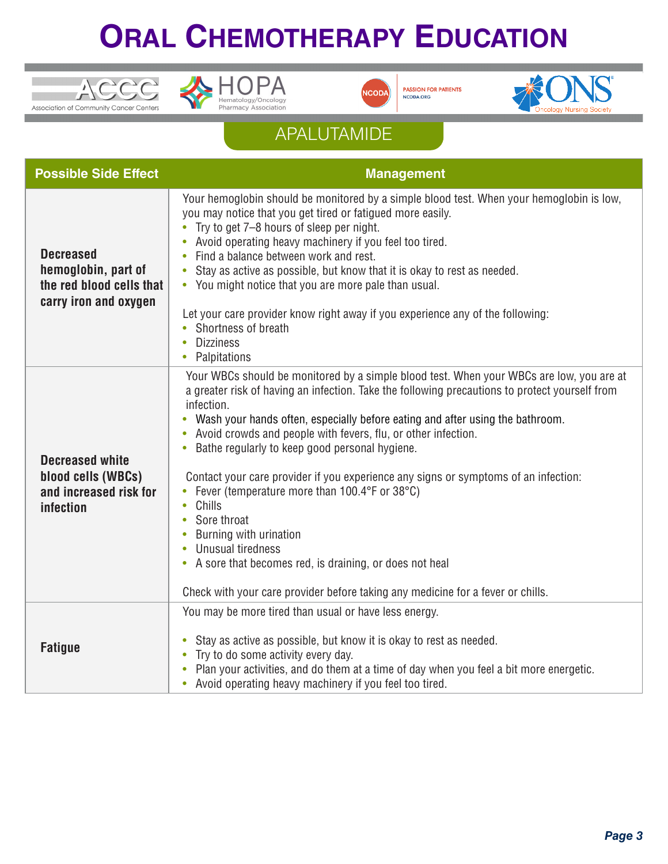





**PASSION FOR PATIENTS** NCODA.ORG



### APALUTAMIDE

| <b>Possible Side Effect</b>                                                                  | <b>Management</b>                                                                                                                                                                                                                                                                                                                                                                                                                                                                                                                                                                                                                                                                                                                                                                                                                                         |
|----------------------------------------------------------------------------------------------|-----------------------------------------------------------------------------------------------------------------------------------------------------------------------------------------------------------------------------------------------------------------------------------------------------------------------------------------------------------------------------------------------------------------------------------------------------------------------------------------------------------------------------------------------------------------------------------------------------------------------------------------------------------------------------------------------------------------------------------------------------------------------------------------------------------------------------------------------------------|
| <b>Decreased</b><br>hemoglobin, part of<br>the red blood cells that<br>carry iron and oxygen | Your hemoglobin should be monitored by a simple blood test. When your hemoglobin is low,<br>you may notice that you get tired or fatigued more easily.<br>Try to get 7-8 hours of sleep per night.<br>$\bullet$<br>Avoid operating heavy machinery if you feel too tired.<br>$\bullet$<br>Find a balance between work and rest.<br>$\bullet$<br>Stay as active as possible, but know that it is okay to rest as needed.<br>$\bullet$<br>• You might notice that you are more pale than usual.<br>Let your care provider know right away if you experience any of the following:<br>Shortness of breath<br><b>Dizziness</b><br>Palpitations<br>$\bullet$                                                                                                                                                                                                   |
| <b>Decreased white</b><br>blood cells (WBCs)<br>and increased risk for<br>infection          | Your WBCs should be monitored by a simple blood test. When your WBCs are low, you are at<br>a greater risk of having an infection. Take the following precautions to protect yourself from<br>infection.<br>Wash your hands often, especially before eating and after using the bathroom.<br>$\bullet$<br>Avoid crowds and people with fevers, flu, or other infection.<br>$\bullet$<br>Bathe regularly to keep good personal hygiene.<br>$\bullet$<br>Contact your care provider if you experience any signs or symptoms of an infection:<br>Fever (temperature more than 100.4°F or 38°C)<br>Chills<br>$\bullet$<br>Sore throat<br>Burning with urination<br>$\bullet$<br>Unusual tiredness<br>$\bullet$<br>• A sore that becomes red, is draining, or does not heal<br>Check with your care provider before taking any medicine for a fever or chills. |
| <b>Fatigue</b>                                                                               | You may be more tired than usual or have less energy.<br>Stay as active as possible, but know it is okay to rest as needed.<br>$\bullet$<br>Try to do some activity every day.<br>$\bullet$<br>Plan your activities, and do them at a time of day when you feel a bit more energetic.<br>Avoid operating heavy machinery if you feel too tired.                                                                                                                                                                                                                                                                                                                                                                                                                                                                                                           |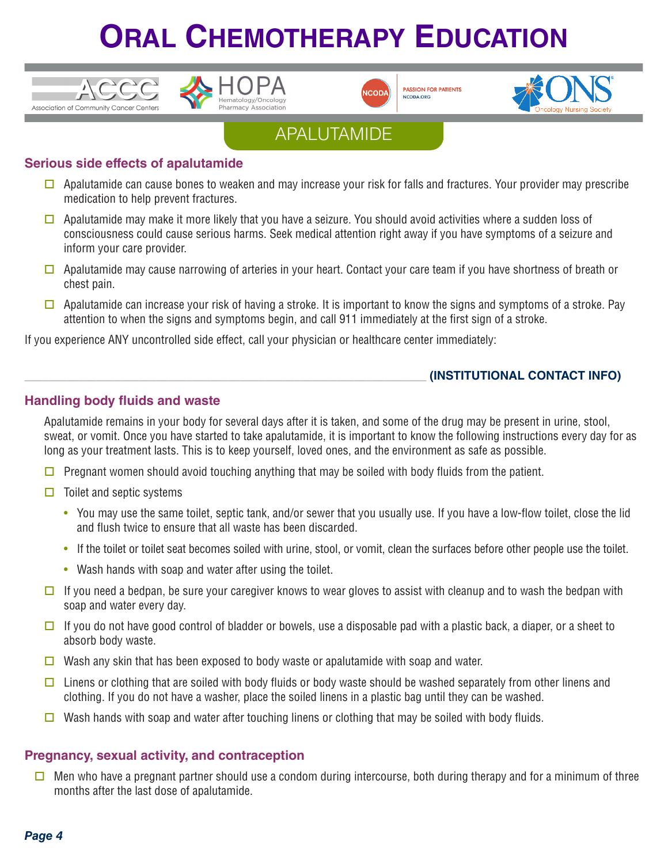



**PASSION FOR PATIENT!** NCODA, ORG



APALUTAMIDE

#### **Serious side effects of apalutamide**

 $\lambda$ 

- $\Box$  Apalutamide can cause bones to weaken and may increase your risk for falls and fractures. Your provider may prescribe medication to help prevent fractures.
- $\Box$  Apalutamide may make it more likely that you have a seizure. You should avoid activities where a sudden loss of consciousness could cause serious harms. Seek medical attention right away if you have symptoms of a seizure and inform your care provider.
- $\Box$  Apalutamide may cause narrowing of arteries in your heart. Contact your care team if you have shortness of breath or chest pain.
- $\Box$  Apalutamide can increase your risk of having a stroke. It is important to know the signs and symptoms of a stroke. Pay attention to when the signs and symptoms begin, and call 911 immediately at the first sign of a stroke.

If you experience ANY uncontrolled side effect, call your physician or healthcare center immediately:

#### \_\_\_\_\_\_\_\_\_\_\_\_\_\_\_\_\_\_\_\_\_\_\_\_\_\_\_\_\_\_\_\_\_\_\_\_\_\_\_\_\_\_\_\_\_\_\_\_\_\_\_\_\_\_\_\_\_\_\_\_\_\_\_\_\_\_\_ **(INSTITUTIONAL CONTACT INFO)**

#### **Handling body fluids and waste**

Apalutamide remains in your body for several days after it is taken, and some of the drug may be present in urine, stool, sweat, or vomit. Once you have started to take apalutamide, it is important to know the following instructions every day for as long as your treatment lasts. This is to keep yourself, loved ones, and the environment as safe as possible.

- **D** Pregnant women should avoid touching anything that may be soiled with body fluids from the patient.
- $\Box$  Toilet and septic systems
	- You may use the same toilet, septic tank, and/or sewer that you usually use. If you have a low-flow toilet, close the lid and flush twice to ensure that all waste has been discarded.
	- If the toilet or toilet seat becomes soiled with urine, stool, or vomit, clean the surfaces before other people use the toilet.
	- Wash hands with soap and water after using the toilet.
- $\Box$  If you need a bedpan, be sure your caregiver knows to wear gloves to assist with cleanup and to wash the bedpan with soap and water every day.
- $\Box$  If you do not have good control of bladder or bowels, use a disposable pad with a plastic back, a diaper, or a sheet to absorb body waste.
- $\Box$  Wash any skin that has been exposed to body waste or apalutamide with soap and water.
- $\Box$  Linens or clothing that are soiled with body fluids or body waste should be washed separately from other linens and clothing. If you do not have a washer, place the soiled linens in a plastic bag until they can be washed.
- Wash hands with soap and water after touching linens or clothing that may be soiled with body fluids.

#### **Pregnancy, sexual activity, and contraception**

 $\Box$  Men who have a pregnant partner should use a condom during intercourse, both during therapy and for a minimum of three months after the last dose of apalutamide.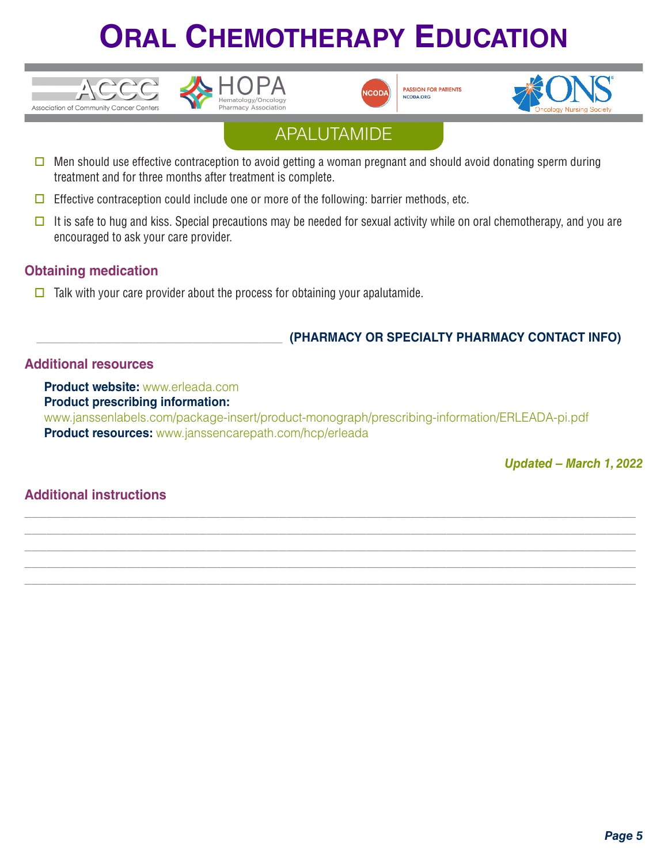



**PASSION FOR PATIENTS** NCODA, ORG



### APALUTAMIDE

- $\square$  Men should use effective contraception to avoid getting a woman pregnant and should avoid donating sperm during treatment and for three months after treatment is complete.
- $\Box$  Effective contraception could include one or more of the following: barrier methods, etc.
- $\Box$  It is safe to hug and kiss. Special precautions may be needed for sexual activity while on oral chemotherapy, and you are encouraged to ask your care provider.

#### **Obtaining medication**

 $\Box$  Talk with your care provider about the process for obtaining your apalutamide.

#### \_\_\_\_\_\_\_\_\_\_\_\_\_\_\_\_\_\_\_\_\_\_\_\_\_\_\_\_\_\_\_\_\_\_\_\_\_\_\_\_\_ **(PHARMACY OR SPECIALTY PHARMACY CONTACT INFO)**

#### **Additional resources**

**Product website:** www.erleada.com **Product prescribing information:**  www.janssenlabels.com/package-insert/product-monograph/prescribing-information/ERLEADA-pi.pdf **Product resources:** www.janssencarepath.com/hcp/erleada

**\_\_\_\_\_\_\_\_\_\_\_\_\_\_\_\_\_\_\_\_\_\_\_\_\_\_\_\_\_\_\_\_\_\_\_\_\_\_\_\_\_\_\_\_\_\_\_\_\_\_\_\_\_\_\_\_\_\_\_\_\_\_\_\_\_\_\_\_\_\_\_\_\_\_\_\_\_\_\_\_\_\_\_\_ \_\_\_\_\_\_\_\_\_\_\_\_\_\_\_\_\_\_\_\_\_\_\_\_\_\_\_\_\_\_\_\_\_\_\_\_\_\_\_\_\_\_\_\_\_\_\_\_\_\_\_\_\_\_\_\_\_\_\_\_\_\_\_\_\_\_\_\_\_\_\_\_\_\_\_\_\_\_\_\_\_\_\_\_ \_\_\_\_\_\_\_\_\_\_\_\_\_\_\_\_\_\_\_\_\_\_\_\_\_\_\_\_\_\_\_\_\_\_\_\_\_\_\_\_\_\_\_\_\_\_\_\_\_\_\_\_\_\_\_\_\_\_\_\_\_\_\_\_\_\_\_\_\_\_\_\_\_\_\_\_\_\_\_\_\_\_\_\_ \_\_\_\_\_\_\_\_\_\_\_\_\_\_\_\_\_\_\_\_\_\_\_\_\_\_\_\_\_\_\_\_\_\_\_\_\_\_\_\_\_\_\_\_\_\_\_\_\_\_\_\_\_\_\_\_\_\_\_\_\_\_\_\_\_\_\_\_\_\_\_\_\_\_\_\_\_\_\_\_\_\_\_\_ \_\_\_\_\_\_\_\_\_\_\_\_\_\_\_\_\_\_\_\_\_\_\_\_\_\_\_\_\_\_\_\_\_\_\_\_\_\_\_\_\_\_\_\_\_\_\_\_\_\_\_\_\_\_\_\_\_\_\_\_\_\_\_\_\_\_\_\_\_\_\_\_\_\_\_\_\_\_\_\_\_\_\_\_**

*Updated – March 1, 2022*

#### **Additional instructions**